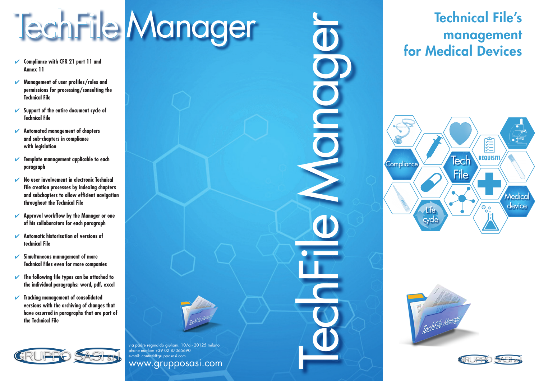via padre reginaldo giuliani, 10/a - 20125 milano phone number +39 02 87065690 .<br>e-mail: contatti@grupposasi.com www.grupposasi.com

TechFile Manager

- ✔ **Compliance with CFR 21 part 11 and Annex 11**
- ✔ **Management of user profiles/roles and permissions for processing/consulting the Technical File**
- ✔ **Support of the entire document cycle of Technical File**
- ✔ **Automated management of chapters and sub-chapters in compliance with legislation**
- ✔ **Template management applicable to each paragraph**
- ✔ **No user involvement in electronic Technical File creation processes by indexing chapters and subchapters to allow efficient navigation throughout the Technical File**
- ✔ **Approval workflow by the Manager or one of his collaborators for each paragraph**
- ✔ **Automatic historisation of versions of technical File**
- ✔ **Simultaneous management of more Technical Files even for more companies**
- ✔ **The following file types can be attached to the individual paragraphs: word, pdf, excel**
- ✔ **Tracking management of consolidated versions with the archiving of changes that have occurred in paragraphs that are part of the Technical File**



# Technical File's management for Medical Devices



TechFile Manager